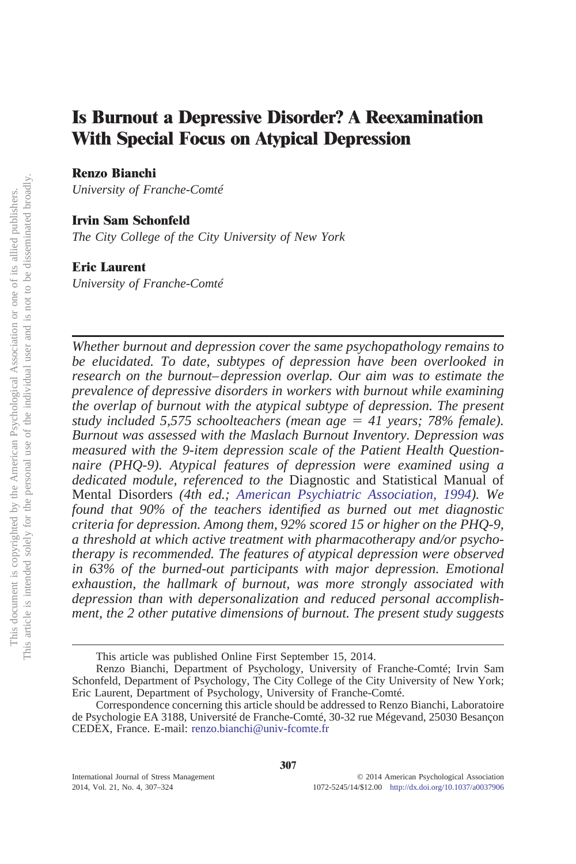# **Is Burnout a Depressive Disorder? A Reexamination With Special Focus on Atypical Depression**

## **Renzo Bianchi**

*University of Franche-Comté*

# **Irvin Sam Schonfeld**

*The City College of the City University of New York*

# **Eric Laurent**

*University of Franche-Comté*

*Whether burnout and depression cover the same psychopathology remains to be elucidated. To date, subtypes of depression have been overlooked in research on the burnout–depression overlap. Our aim was to estimate the prevalence of depressive disorders in workers with burnout while examining the overlap of burnout with the atypical subtype of depression. The present* study included 5,575 schoolteachers (mean age = 41 years; 78% female). *Burnout was assessed with the Maslach Burnout Inventory. Depression was measured with the 9-item depression scale of the Patient Health Questionnaire (PHQ-9). Atypical features of depression were examined using a dedicated module, referenced to the* Diagnostic and Statistical Manual of Mental Disorders *(4th ed.; [American Psychiatric Association, 1994\)](#page-15-0). We found that 90% of the teachers identified as burned out met diagnostic criteria for depression. Among them, 92% scored 15 or higher on the PHQ-9, a threshold at which active treatment with pharmacotherapy and/or psychotherapy is recommended. The features of atypical depression were observed in 63% of the burned-out participants with major depression. Emotional exhaustion, the hallmark of burnout, was more strongly associated with depression than with depersonalization and reduced personal accomplishment, the 2 other putative dimensions of burnout. The present study suggests*

This article was published Online First September 15, 2014.

Renzo Bianchi, Department of Psychology, University of Franche-Comté; Irvin Sam Schonfeld, Department of Psychology, The City College of the City University of New York; Eric Laurent, Department of Psychology, University of Franche-Comté.

Correspondence concerning this article should be addressed to Renzo Bianchi, Laboratoire de Psychologie EA 3188, Université de Franche-Comté, 30-32 rue Mégevand, 25030 Besançon CEDEX, France. E-mail: [renzo.bianchi@univ-fcomte.fr](mailto:renzo.bianchi@univ-fcomte.fr)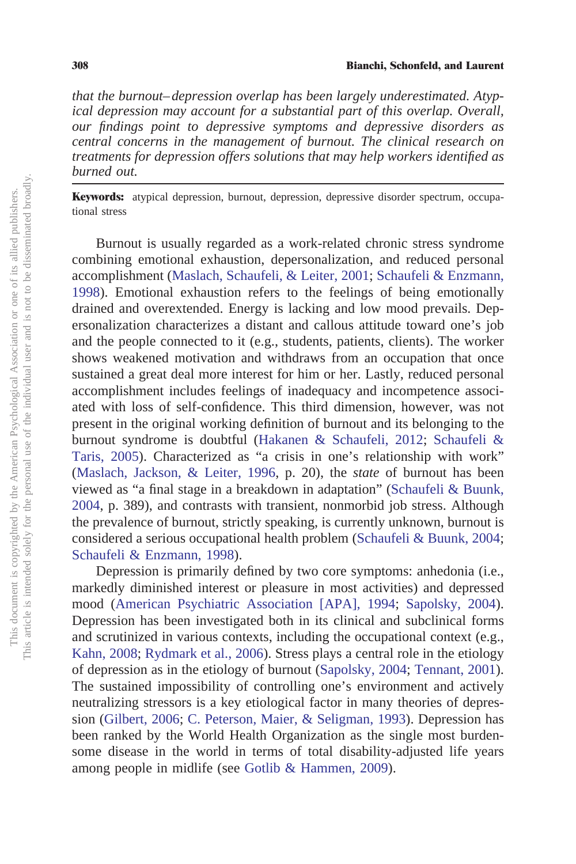*that the burnout–depression overlap has been largely underestimated. Atypical depression may account for a substantial part of this overlap. Overall, our findings point to depressive symptoms and depressive disorders as central concerns in the management of burnout. The clinical research on treatments for depression offers solutions that may help workers identified as burned out.*

**Keywords:** atypical depression, burnout, depression, depressive disorder spectrum, occupational stress

Burnout is usually regarded as a work-related chronic stress syndrome combining emotional exhaustion, depersonalization, and reduced personal accomplishment [\(Maslach, Schaufeli, & Leiter, 2001;](#page-16-0) [Schaufeli & Enzmann,](#page-17-0) [1998\)](#page-17-0). Emotional exhaustion refers to the feelings of being emotionally drained and overextended. Energy is lacking and low mood prevails. Depersonalization characterizes a distant and callous attitude toward one's job and the people connected to it (e.g., students, patients, clients). The worker shows weakened motivation and withdraws from an occupation that once sustained a great deal more interest for him or her. Lastly, reduced personal accomplishment includes feelings of inadequacy and incompetence associated with loss of self-confidence. This third dimension, however, was not present in the original working definition of burnout and its belonging to the burnout syndrome is doubtful [\(Hakanen & Schaufeli, 2012;](#page-16-1) [Schaufeli &](#page-17-1) [Taris, 2005\)](#page-17-1). Characterized as "a crisis in one's relationship with work" [\(Maslach, Jackson, & Leiter, 1996,](#page-16-2) p. 20), the *state* of burnout has been viewed as "a final stage in a breakdown in adaptation" [\(Schaufeli & Buunk,](#page-17-2) [2004,](#page-17-2) p. 389), and contrasts with transient, nonmorbid job stress. Although the prevalence of burnout, strictly speaking, is currently unknown, burnout is considered a serious occupational health problem [\(Schaufeli & Buunk, 2004;](#page-17-2) [Schaufeli & Enzmann, 1998\)](#page-17-0).

Depression is primarily defined by two core symptoms: anhedonia (i.e., markedly diminished interest or pleasure in most activities) and depressed mood [\(American Psychiatric Association \[APA\], 1994;](#page-15-0) [Sapolsky, 2004\)](#page-17-3). Depression has been investigated both in its clinical and subclinical forms and scrutinized in various contexts, including the occupational context (e.g., [Kahn, 2008;](#page-16-3) [Rydmark et al., 2006\)](#page-17-4). Stress plays a central role in the etiology of depression as in the etiology of burnout [\(Sapolsky, 2004;](#page-17-3) [Tennant, 2001\)](#page-17-5). The sustained impossibility of controlling one's environment and actively neutralizing stressors is a key etiological factor in many theories of depression [\(Gilbert, 2006;](#page-15-1) [C. Peterson, Maier, & Seligman, 1993\)](#page-16-4). Depression has been ranked by the World Health Organization as the single most burdensome disease in the world in terms of total disability-adjusted life years among people in midlife (see [Gotlib & Hammen, 2009\)](#page-16-5).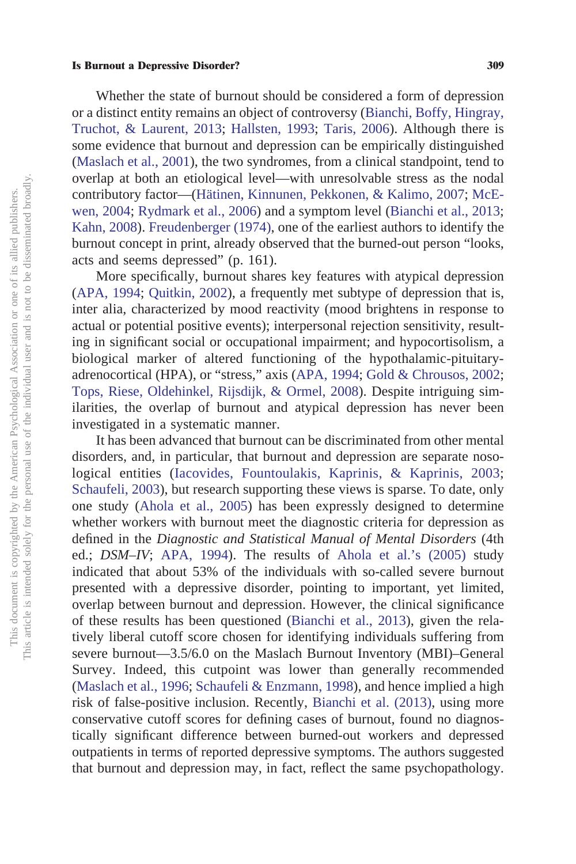Whether the state of burnout should be considered a form of depression or a distinct entity remains an object of controversy [\(Bianchi, Boffy, Hingray,](#page-15-2) [Truchot, & Laurent, 2013;](#page-15-2) [Hallsten, 1993;](#page-16-6) [Taris, 2006\)](#page-17-6). Although there is some evidence that burnout and depression can be empirically distinguished [\(Maslach et al., 2001\)](#page-16-0), the two syndromes, from a clinical standpoint, tend to overlap at both an etiological level—with unresolvable stress as the nodal contributory factor—[\(Hätinen, Kinnunen, Pekkonen, & Kalimo, 2007;](#page-16-7) [McE](#page-16-8)[wen, 2004;](#page-16-8) [Rydmark et al., 2006\)](#page-17-4) and a symptom level [\(Bianchi et al., 2013;](#page-15-2) [Kahn, 2008\)](#page-16-3). [Freudenberger \(1974\),](#page-15-3) one of the earliest authors to identify the burnout concept in print, already observed that the burned-out person "looks, acts and seems depressed" (p. 161).

More specifically, burnout shares key features with atypical depression [\(APA, 1994;](#page-15-0) [Quitkin, 2002\)](#page-16-9), a frequently met subtype of depression that is, inter alia, characterized by mood reactivity (mood brightens in response to actual or potential positive events); interpersonal rejection sensitivity, resulting in significant social or occupational impairment; and hypocortisolism, a biological marker of altered functioning of the hypothalamic-pituitaryadrenocortical (HPA), or "stress," axis [\(APA, 1994;](#page-15-0) [Gold & Chrousos, 2002;](#page-15-4) [Tops, Riese, Oldehinkel, Rijsdijk, & Ormel, 2008\)](#page-17-7). Despite intriguing similarities, the overlap of burnout and atypical depression has never been investigated in a systematic manner.

It has been advanced that burnout can be discriminated from other mental disorders, and, in particular, that burnout and depression are separate nosological entities [\(Iacovides, Fountoulakis, Kaprinis, & Kaprinis, 2003;](#page-16-10) [Schaufeli, 2003\)](#page-17-8), but research supporting these views is sparse. To date, only one study [\(Ahola et al., 2005\)](#page-15-5) has been expressly designed to determine whether workers with burnout meet the diagnostic criteria for depression as defined in the *Diagnostic and Statistical Manual of Mental Disorders* (4th ed.; *DSM-IV*; [APA, 1994\)](#page-15-0). The results of [Ahola et al.'s \(2005\)](#page-15-5) study indicated that about 53% of the individuals with so-called severe burnout presented with a depressive disorder, pointing to important, yet limited, overlap between burnout and depression. However, the clinical significance of these results has been questioned [\(Bianchi et al., 2013\)](#page-15-2), given the relatively liberal cutoff score chosen for identifying individuals suffering from severe burnout—3.5/6.0 on the Maslach Burnout Inventory (MBI)–General Survey. Indeed, this cutpoint was lower than generally recommended [\(Maslach et al., 1996;](#page-16-2) [Schaufeli & Enzmann, 1998\)](#page-17-0), and hence implied a high risk of false-positive inclusion. Recently, [Bianchi et al. \(2013\),](#page-15-2) using more conservative cutoff scores for defining cases of burnout, found no diagnostically significant difference between burned-out workers and depressed outpatients in terms of reported depressive symptoms. The authors suggested that burnout and depression may, in fact, reflect the same psychopathology.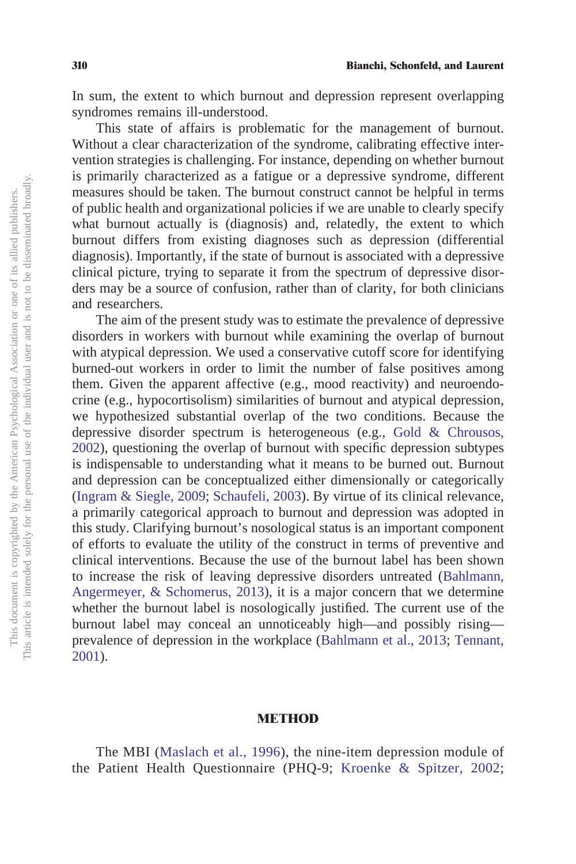In sum, the extent to which burnout and depression represent overlapping syndromes remains ill-understood.

This state of affairs is problematic for the management of burnout. Without a clear characterization of the syndrome, calibrating effective intervention strategies is challenging. For instance, depending on whether burnout is primarily characterized as a fatigue or a depressive syndrome, different measures should be taken. The burnout construct cannot be helpful in terms of public health and organizational policies if we are unable to clearly specify what burnout actually is (diagnosis) and, relatedly, the extent to which burnout differs from existing diagnoses such as depression (differential diagnosis). Importantly, if the state of burnout is associated with a depressive clinical picture, trying to separate it from the spectrum of depressive disorders may be a source of confusion, rather than of clarity, for both clinicians and researchers.

The aim of the present study was to estimate the prevalence of depressive disorders in workers with burnout while examining the overlap of burnout with atypical depression. We used a conservative cutoff score for identifying burned-out workers in order to limit the number of false positives among them. Given the apparent affective (e.g., mood reactivity) and neuroendocrine (e.g., hypocortisolism) similarities of burnout and atypical depression, we hypothesized substantial overlap of the two conditions. Because the depressive disorder spectrum is heterogeneous (e.g., [Gold & Chrousos,](#page-15-4) [2002\)](#page-15-4), questioning the overlap of burnout with specific depression subtypes is indispensable to understanding what it means to be burned out. Burnout and depression can be conceptualized either dimensionally or categorically [\(Ingram & Siegle, 2009;](#page-16-11) [Schaufeli, 2003\)](#page-17-8). By virtue of its clinical relevance, a primarily categorical approach to burnout and depression was adopted in this study. Clarifying burnout's nosological status is an important component of efforts to evaluate the utility of the construct in terms of preventive and clinical interventions. Because the use of the burnout label has been shown to increase the risk of leaving depressive disorders untreated [\(Bahlmann,](#page-15-6) [Angermeyer, & Schomerus, 2013\)](#page-15-6), it is a major concern that we determine whether the burnout label is nosologically justified. The current use of the burnout label may conceal an unnoticeably high—and possibly rising prevalence of depression in the workplace [\(Bahlmann et al., 2013;](#page-15-6) [Tennant,](#page-17-5) [2001\)](#page-17-5).

## **METHOD**

The MBI [\(Maslach et al., 1996\)](#page-16-2), the nine-item depression module of the Patient Health Questionnaire (PHQ-9; [Kroenke & Spitzer, 2002;](#page-16-12)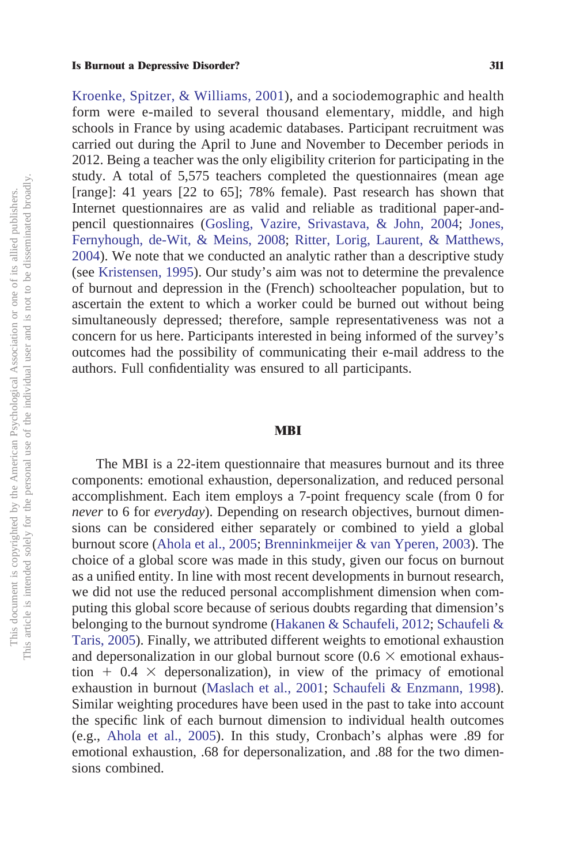[Kroenke, Spitzer, & Williams, 2001\)](#page-16-13), and a sociodemographic and health form were e-mailed to several thousand elementary, middle, and high schools in France by using academic databases. Participant recruitment was carried out during the April to June and November to December periods in 2012. Being a teacher was the only eligibility criterion for participating in the study. A total of 5,575 teachers completed the questionnaires (mean age [range]: 41 years [22 to 65]; 78% female). Past research has shown that Internet questionnaires are as valid and reliable as traditional paper-andpencil questionnaires [\(Gosling, Vazire, Srivastava, & John, 2004;](#page-16-14) [Jones,](#page-16-15) [Fernyhough, de-Wit, & Meins, 2008;](#page-16-15) [Ritter, Lorig, Laurent, & Matthews,](#page-16-16) [2004\)](#page-16-16). We note that we conducted an analytic rather than a descriptive study (see [Kristensen, 1995\)](#page-16-17). Our study's aim was not to determine the prevalence of burnout and depression in the (French) schoolteacher population, but to ascertain the extent to which a worker could be burned out without being simultaneously depressed; therefore, sample representativeness was not a concern for us here. Participants interested in being informed of the survey's outcomes had the possibility of communicating their e-mail address to the authors. Full confidentiality was ensured to all participants.

## **MBI**

The MBI is a 22-item questionnaire that measures burnout and its three components: emotional exhaustion, depersonalization, and reduced personal accomplishment. Each item employs a 7-point frequency scale (from 0 for *never* to 6 for *everyday*). Depending on research objectives, burnout dimensions can be considered either separately or combined to yield a global burnout score [\(Ahola et al., 2005;](#page-15-5) [Brenninkmeijer & van Yperen, 2003\)](#page-15-7). The choice of a global score was made in this study, given our focus on burnout as a unified entity. In line with most recent developments in burnout research, we did not use the reduced personal accomplishment dimension when computing this global score because of serious doubts regarding that dimension's belonging to the burnout syndrome [\(Hakanen & Schaufeli, 2012;](#page-16-1) [Schaufeli &](#page-17-1) [Taris, 2005\)](#page-17-1). Finally, we attributed different weights to emotional exhaustion and depersonalization in our global burnout score ( $0.6 \times$  emotional exhaustion  $+$  0.4  $\times$  depersonalization), in view of the primacy of emotional exhaustion in burnout [\(Maslach et al., 2001;](#page-16-0) [Schaufeli & Enzmann, 1998\)](#page-17-0). Similar weighting procedures have been used in the past to take into account the specific link of each burnout dimension to individual health outcomes (e.g., [Ahola et al., 2005\)](#page-15-5). In this study, Cronbach's alphas were .89 for emotional exhaustion, .68 for depersonalization, and .88 for the two dimensions combined.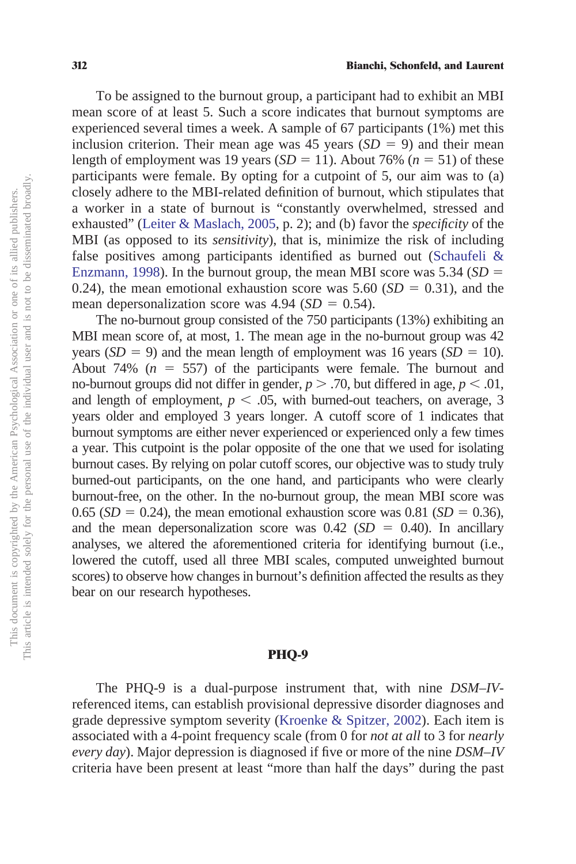To be assigned to the burnout group, a participant had to exhibit an MBI mean score of at least 5. Such a score indicates that burnout symptoms are experienced several times a week. A sample of 67 participants (1%) met this inclusion criterion. Their mean age was  $45$  years  $(SD = 9)$  and their mean length of employment was 19 years  $(SD = 11)$ . About 76%  $(n = 51)$  of these participants were female. By opting for a cutpoint of 5, our aim was to (a) closely adhere to the MBI-related definition of burnout, which stipulates that a worker in a state of burnout is "constantly overwhelmed, stressed and exhausted" [\(Leiter & Maslach, 2005,](#page-16-18) p. 2); and (b) favor the *specificity* of the MBI (as opposed to its *sensitivity*), that is, minimize the risk of including false positives among participants identified as burned out [\(Schaufeli &](#page-17-0) [Enzmann, 1998\)](#page-17-0). In the burnout group, the mean MBI score was  $5.34$  (*SD* = 0.24), the mean emotional exhaustion score was  $5.60$  ( $SD = 0.31$ ), and the mean depersonalization score was  $4.94$  ( $SD = 0.54$ ).

The no-burnout group consisted of the 750 participants (13%) exhibiting an MBI mean score of, at most, 1. The mean age in the no-burnout group was 42 years  $(SD = 9)$  and the mean length of employment was 16 years  $(SD = 10)$ . About 74%  $(n = 557)$  of the participants were female. The burnout and no-burnout groups did not differ in gender,  $p > .70$ , but differed in age,  $p < .01$ , and length of employment,  $p < .05$ , with burned-out teachers, on average, 3 years older and employed 3 years longer. A cutoff score of 1 indicates that burnout symptoms are either never experienced or experienced only a few times a year. This cutpoint is the polar opposite of the one that we used for isolating burnout cases. By relying on polar cutoff scores, our objective was to study truly burned-out participants, on the one hand, and participants who were clearly burnout-free, on the other. In the no-burnout group, the mean MBI score was  $0.65$  (*SD* = 0.24), the mean emotional exhaustion score was 0.81 (*SD* = 0.36), and the mean depersonalization score was  $0.42$  (*SD* = 0.40). In ancillary analyses, we altered the aforementioned criteria for identifying burnout (i.e., lowered the cutoff, used all three MBI scales, computed unweighted burnout scores) to observe how changes in burnout's definition affected the results as they bear on our research hypotheses.

# **PHQ-9**

The PHQ-9 is a dual-purpose instrument that, with nine *DSM–IV*referenced items, can establish provisional depressive disorder diagnoses and grade depressive symptom severity [\(Kroenke & Spitzer, 2002\)](#page-16-12). Each item is associated with a 4-point frequency scale (from 0 for *not at all* to 3 for *nearly every day*). Major depression is diagnosed if five or more of the nine *DSM–IV* criteria have been present at least "more than half the days" during the past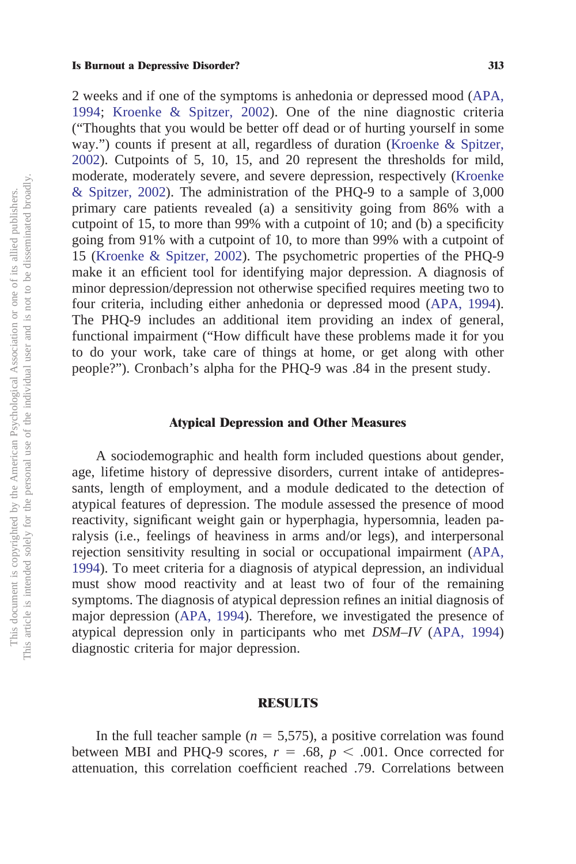2 weeks and if one of the symptoms is anhedonia or depressed mood [\(APA,](#page-15-0) [1994;](#page-15-0) [Kroenke & Spitzer, 2002\)](#page-16-12). One of the nine diagnostic criteria ("Thoughts that you would be better off dead or of hurting yourself in some way.") counts if present at all, regardless of duration [\(Kroenke & Spitzer,](#page-16-12) [2002\)](#page-16-12). Cutpoints of 5, 10, 15, and 20 represent the thresholds for mild, moderate, moderately severe, and severe depression, respectively [\(Kroenke](#page-16-12) [& Spitzer, 2002\)](#page-16-12). The administration of the PHQ-9 to a sample of 3,000 primary care patients revealed (a) a sensitivity going from 86% with a cutpoint of 15, to more than 99% with a cutpoint of 10; and (b) a specificity going from 91% with a cutpoint of 10, to more than 99% with a cutpoint of 15 [\(Kroenke & Spitzer, 2002\)](#page-16-12). The psychometric properties of the PHQ-9 make it an efficient tool for identifying major depression. A diagnosis of minor depression/depression not otherwise specified requires meeting two to four criteria, including either anhedonia or depressed mood [\(APA, 1994\)](#page-15-0). The PHQ-9 includes an additional item providing an index of general, functional impairment ("How difficult have these problems made it for you to do your work, take care of things at home, or get along with other people?"). Cronbach's alpha for the PHQ-9 was .84 in the present study.

## **Atypical Depression and Other Measures**

A sociodemographic and health form included questions about gender, age, lifetime history of depressive disorders, current intake of antidepressants, length of employment, and a module dedicated to the detection of atypical features of depression. The module assessed the presence of mood reactivity, significant weight gain or hyperphagia, hypersomnia, leaden paralysis (i.e., feelings of heaviness in arms and/or legs), and interpersonal rejection sensitivity resulting in social or occupational impairment [\(APA,](#page-15-0) [1994\)](#page-15-0). To meet criteria for a diagnosis of atypical depression, an individual must show mood reactivity and at least two of four of the remaining symptoms. The diagnosis of atypical depression refines an initial diagnosis of major depression [\(APA, 1994\)](#page-15-0). Therefore, we investigated the presence of atypical depression only in participants who met *DSM–IV* [\(APA, 1994\)](#page-15-0) diagnostic criteria for major depression.

## **RESULTS**

In the full teacher sample  $(n = 5,575)$ , a positive correlation was found between MBI and PHQ-9 scores,  $r = .68$ ,  $p < .001$ . Once corrected for attenuation, this correlation coefficient reached .79. Correlations between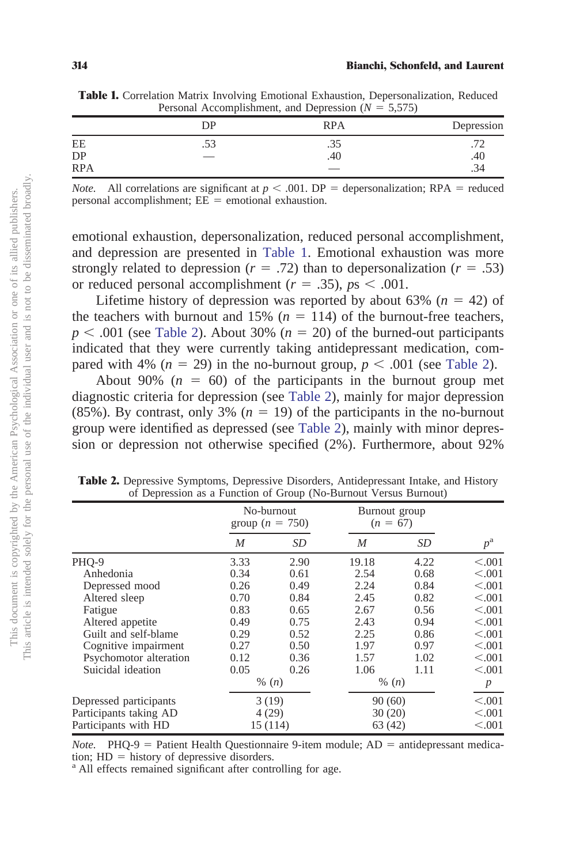|            | Personal Accomplishment, and Depression $(N = 3,3/3)$ |            |            |  |
|------------|-------------------------------------------------------|------------|------------|--|
|            | DР                                                    | <b>RPA</b> | Depression |  |
| ΕE         |                                                       |            |            |  |
| DP         | __                                                    | .40        | .40        |  |
| <b>RPA</b> |                                                       |            | .34        |  |

<span id="page-7-0"></span>**Table 1.** Correlation Matrix Involving Emotional Exhaustion, Depersonalization, Reduced Personal Accomplishment, and Depression  $(N = 5,575)$ 

*Note.* All correlations are significant at  $p < .001$ . DP = depersonalization; RPA = reduced  $personal$   $accomplishment$ ;  $EE = emotional$   $exhaustion$ .

emotional exhaustion, depersonalization, reduced personal accomplishment, and depression are presented in [Table 1.](#page-7-0) Emotional exhaustion was more strongly related to depression ( $r = .72$ ) than to depersonalization ( $r = .53$ ) or reduced personal accomplishment  $(r = .35)$ ,  $ps < .001$ .

Lifetime history of depression was reported by about  $63\%$  ( $n = 42$ ) of the teachers with burnout and  $15\%$  ( $n = 114$ ) of the burnout-free teachers,  $p < .001$  (see [Table 2\)](#page-7-1). About 30% ( $n = 20$ ) of the burned-out participants indicated that they were currently taking antidepressant medication, compared with 4% ( $n = 29$ ) in the no-burnout group,  $p < .001$  (see [Table 2\)](#page-7-1).

About 90%  $(n = 60)$  of the participants in the burnout group met diagnostic criteria for depression (see [Table 2\)](#page-7-1), mainly for major depression  $(85\%)$ . By contrast, only 3% ( $n = 19$ ) of the participants in the no-burnout group were identified as depressed (see [Table 2\)](#page-7-1), mainly with minor depression or depression not otherwise specified (2%). Furthermore, about 92%

|                        | No-burnout<br>group ( $n = 750$ ) |         | Burnout group<br>$(n = 67)$ |        |                  |  |
|------------------------|-----------------------------------|---------|-----------------------------|--------|------------------|--|
|                        | M                                 | SD      | M                           | SD     | $p^{\rm a}$      |  |
| PHQ-9                  | 3.33                              | 2.90    | 19.18                       | 4.22   | < 0.001          |  |
| Anhedonia              | 0.34                              | 0.61    | 2.54                        | 0.68   | < 0.001          |  |
| Depressed mood         | 0.26                              | 0.49    | 2.24                        | 0.84   | < 0.001          |  |
| Altered sleep          | 0.70                              | 0.84    | 2.45                        | 0.82   | < 0.001          |  |
| Fatigue                | 0.83                              | 0.65    | 2.67                        | 0.56   | < 0.001          |  |
| Altered appetite       | 0.49                              | 0.75    | 2.43                        | 0.94   | < 0.001          |  |
| Guilt and self-blame   | 0.29                              | 0.52    | 2.25                        | 0.86   | < 0.001          |  |
| Cognitive impairment   | 0.27                              | 0.50    | 1.97                        | 0.97   | < 0.001          |  |
| Psychomotor alteration | 0.12                              | 0.36    | 1.57                        | 1.02   | < 0.001          |  |
| Suicidal ideation      | 0.05                              | 0.26    | 1.06                        | 1.11   | < 0.001          |  |
|                        |                                   | % $(n)$ | % $(n)$                     |        | $\boldsymbol{p}$ |  |
| Depressed participants | 3(19)                             |         | 90(60)                      |        | < 0.001          |  |
| Participants taking AD |                                   | 4(29)   |                             | 30(20) |                  |  |
| Participants with HD   | 15 (114)                          |         |                             | 63(42) |                  |  |

<span id="page-7-1"></span>**Table 2.** Depressive Symptoms, Depressive Disorders, Antidepressant Intake, and History of Depression as a Function of Group (No-Burnout Versus Burnout)

*Note.* PHQ-9 = Patient Health Questionnaire 9-item module; AD = antidepressant medication;  $HD =$  history of depressive disorders.

<sup>a</sup> All effects remained significant after controlling for age.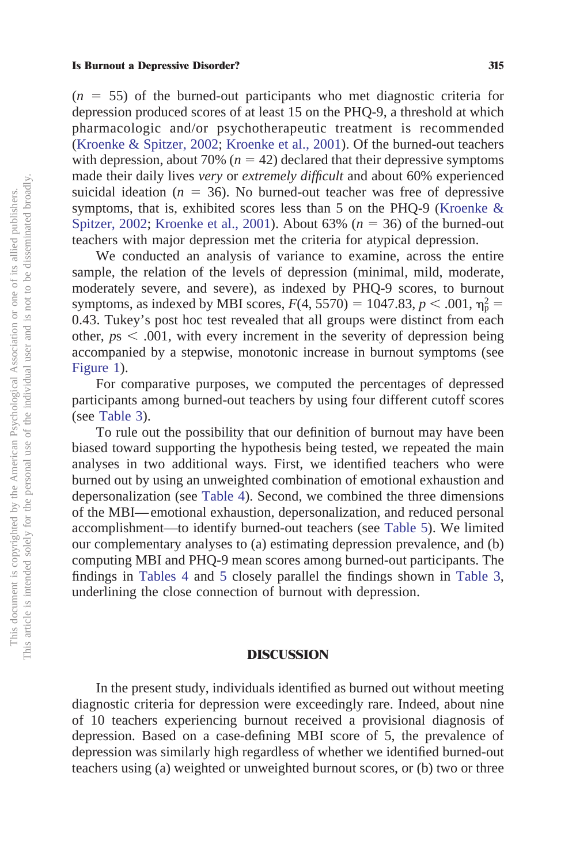$(n = 55)$  of the burned-out participants who met diagnostic criteria for depression produced scores of at least 15 on the PHQ-9, a threshold at which pharmacologic and/or psychotherapeutic treatment is recommended [\(Kroenke & Spitzer, 2002;](#page-16-12) [Kroenke et al., 2001\)](#page-16-13). Of the burned-out teachers with depression, about 70%  $(n = 42)$  declared that their depressive symptoms made their daily lives *very* or *extremely difficult* and about 60% experienced suicidal ideation ( $n = 36$ ). No burned-out teacher was free of depressive symptoms, that is, exhibited scores less than 5 on the PHQ-9 [\(Kroenke &](#page-16-12) [Spitzer, 2002;](#page-16-12) [Kroenke et al., 2001\)](#page-16-13). About  $63\%$  ( $n = 36$ ) of the burned-out teachers with major depression met the criteria for atypical depression.

We conducted an analysis of variance to examine, across the entire sample, the relation of the levels of depression (minimal, mild, moderate, moderately severe, and severe), as indexed by PHQ-9 scores, to burnout symptoms, as indexed by MBI scores,  $F(4, 5570) = 1047.83$ ,  $p < .001$ ,  $\eta_p^2 =$ 0.43. Tukey's post hoc test revealed that all groups were distinct from each other,  $p_s < .001$ , with every increment in the severity of depression being accompanied by a stepwise, monotonic increase in burnout symptoms (see [Figure 1\)](#page-9-0).

For comparative purposes, we computed the percentages of depressed participants among burned-out teachers by using four different cutoff scores (see [Table 3\)](#page-9-1).

To rule out the possibility that our definition of burnout may have been biased toward supporting the hypothesis being tested, we repeated the main analyses in two additional ways. First, we identified teachers who were burned out by using an unweighted combination of emotional exhaustion and depersonalization (see [Table 4\)](#page-10-0). Second, we combined the three dimensions of the MBI—emotional exhaustion, depersonalization, and reduced personal accomplishment—to identify burned-out teachers (see [Table 5\)](#page-10-1). We limited our complementary analyses to (a) estimating depression prevalence, and (b) computing MBI and PHQ-9 mean scores among burned-out participants. The findings in [Tables 4](#page-10-0) and [5](#page-10-1) closely parallel the findings shown in [Table 3,](#page-9-1) underlining the close connection of burnout with depression.

# **DISCUSSION**

In the present study, individuals identified as burned out without meeting diagnostic criteria for depression were exceedingly rare. Indeed, about nine of 10 teachers experiencing burnout received a provisional diagnosis of depression. Based on a case-defining MBI score of 5, the prevalence of depression was similarly high regardless of whether we identified burned-out teachers using (a) weighted or unweighted burnout scores, or (b) two or three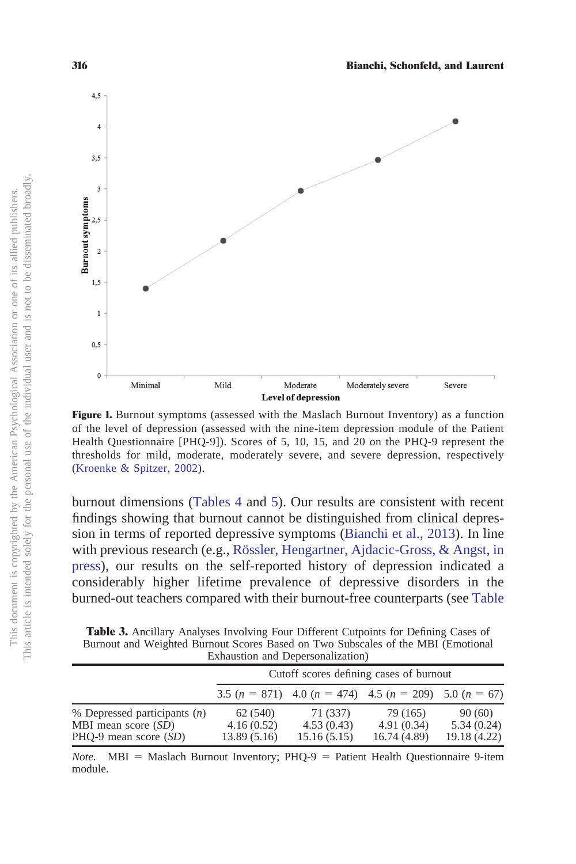

<span id="page-9-0"></span>**Figure 1.** Burnout symptoms (assessed with the Maslach Burnout Inventory) as a function of the level of depression (assessed with the nine-item depression module of the Patient Health Questionnaire [PHQ-9]). Scores of 5, 10, 15, and 20 on the PHQ-9 represent the thresholds for mild, moderate, moderately severe, and severe depression, respectively [\(Kroenke & Spitzer, 2002\)](#page-16-12).

burnout dimensions [\(Tables 4](#page-10-0) and [5\)](#page-10-1). Our results are consistent with recent findings showing that burnout cannot be distinguished from clinical depression in terms of reported depressive symptoms [\(Bianchi et al., 2013\)](#page-15-2). In line with previous research (e.g., [Rössler, Hengartner, Ajdacic-Gross, & Angst, in](#page-17-9) [press\)](#page-17-9), our results on the self-reported history of depression indicated a considerably higher lifetime prevalence of depressive disorders in the burned-out teachers compared with their burnout-free counterparts (see [Table](#page-7-1)

<span id="page-9-1"></span>**Table 3.** Ancillary Analyses Involving Four Different Cutpoints for Defining Cases of Burnout and Weighted Burnout Scores Based on Two Subscales of the MBI (Emotional Exhaustion and Depersonalization)

|                                | Cutoff scores defining cases of burnout |                                                                |              |              |
|--------------------------------|-----------------------------------------|----------------------------------------------------------------|--------------|--------------|
|                                |                                         | 3.5 $(n = 871)$ 4.0 $(n = 474)$ 4.5 $(n = 209)$ 5.0 $(n = 67)$ |              |              |
| % Depressed participants $(n)$ | 62 (540)                                | 71 (337)                                                       | 79 (165)     | 90(60)       |
| MBI mean score $(SD)$          | 4.16(0.52)                              | 4.53(0.43)                                                     | 4.91(0.34)   | 5.34(0.24)   |
| $PHO-9$ mean score $(SD)$      | 13.89(5.16)                             | 15.16(5.15)                                                    | 16.74 (4.89) | 19.18 (4.22) |

*Note.* MBI = Maslach Burnout Inventory; PHQ-9 = Patient Health Questionnaire 9-item module.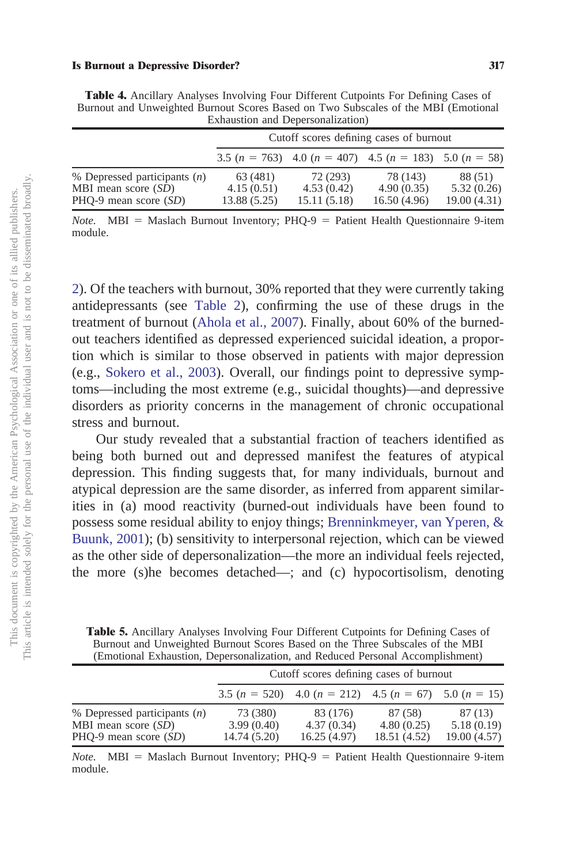|                                | Cutoff scores defining cases of burnout |             |                                                                |             |  |
|--------------------------------|-----------------------------------------|-------------|----------------------------------------------------------------|-------------|--|
|                                |                                         |             | 3.5 $(n = 763)$ 4.0 $(n = 407)$ 4.5 $(n = 183)$ 5.0 $(n = 58)$ |             |  |
| % Depressed participants $(n)$ | 63 (481)                                | 72 (293)    | 78 (143)                                                       | 88 (51)     |  |
| MBI mean score $(SD)$          | 4.15(0.51)                              | 4.53(0.42)  | 4.90(0.35)                                                     | 5.32(0.26)  |  |
| $PHO-9$ mean score $(SD)$      | 13.88 (5.25)                            | 15.11(5.18) | 16.50(4.96)                                                    | 19.00(4.31) |  |

<span id="page-10-0"></span>**Table 4.** Ancillary Analyses Involving Four Different Cutpoints For Defining Cases of Burnout and Unweighted Burnout Scores Based on Two Subscales of the MBI (Emotional Exhaustion and Depersonalization)

*Note.* MBI = Maslach Burnout Inventory; PHQ-9 = Patient Health Questionnaire 9-item module.

[2\)](#page-7-1). Of the teachers with burnout, 30% reported that they were currently taking antidepressants (see [Table 2\)](#page-7-1), confirming the use of these drugs in the treatment of burnout [\(Ahola et al., 2007\)](#page-15-8). Finally, about 60% of the burnedout teachers identified as depressed experienced suicidal ideation, a proportion which is similar to those observed in patients with major depression (e.g., [Sokero et al., 2003\)](#page-17-10). Overall, our findings point to depressive symptoms—including the most extreme (e.g., suicidal thoughts)—and depressive disorders as priority concerns in the management of chronic occupational stress and burnout.

Our study revealed that a substantial fraction of teachers identified as being both burned out and depressed manifest the features of atypical depression. This finding suggests that, for many individuals, burnout and atypical depression are the same disorder, as inferred from apparent similarities in (a) mood reactivity (burned-out individuals have been found to possess some residual ability to enjoy things; [Brenninkmeyer, van Yperen, &](#page-15-9) [Buunk, 2001\)](#page-15-9); (b) sensitivity to interpersonal rejection, which can be viewed as the other side of depersonalization—the more an individual feels rejected, the more (s)he becomes detached—; and (c) hypocortisolism, denoting

<span id="page-10-1"></span>**Table 5.** Ancillary Analyses Involving Four Different Cutpoints for Defining Cases of Burnout and Unweighted Burnout Scores Based on the Three Subscales of the MBI (Emotional Exhaustion, Depersonalization, and Reduced Personal Accomplishment)

|                                | Cutoff scores defining cases of burnout |                                                               |              |             |
|--------------------------------|-----------------------------------------|---------------------------------------------------------------|--------------|-------------|
|                                |                                         | 3.5 $(n = 520)$ 4.0 $(n = 212)$ 4.5 $(n = 67)$ 5.0 $(n = 15)$ |              |             |
| % Depressed participants $(n)$ | 73 (380)                                | 83 (176)                                                      | 87 (58)      | 87(13)      |
| MBI mean score $(SD)$          | 3.99(0.40)                              | 4.37(0.34)                                                    | 4.80(0.25)   | 5.18(0.19)  |
| $PHO-9$ mean score $(SD)$      | 14.74 (5.20)                            | 16.25(4.97)                                                   | 18.51 (4.52) | 19.00(4.57) |

*Note.* MBI = Maslach Burnout Inventory; PHQ-9 = Patient Health Questionnaire 9-item module.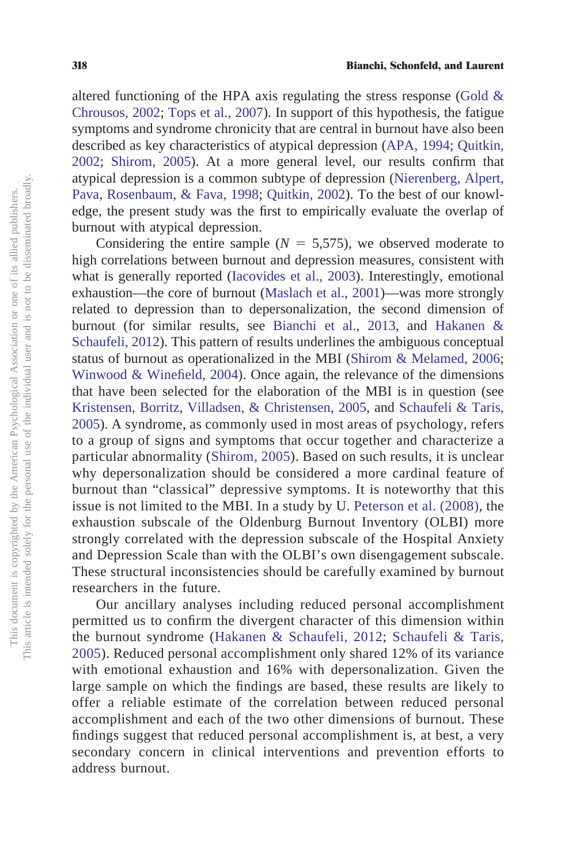altered functioning of the HPA axis regulating the stress response (Gold  $\&$ [Chrousos, 2002;](#page-15-4) [Tops et al., 2007\)](#page-17-11). In support of this hypothesis, the fatigue symptoms and syndrome chronicity that are central in burnout have also been described as key characteristics of atypical depression [\(APA, 1994;](#page-15-0) [Quitkin,](#page-16-9) [2002;](#page-16-9) [Shirom, 2005\)](#page-17-12). At a more general level, our results confirm that atypical depression is a common subtype of depression [\(Nierenberg, Alpert,](#page-16-19) [Pava, Rosenbaum, & Fava, 1998;](#page-16-19) [Quitkin, 2002\)](#page-16-9). To the best of our knowledge, the present study was the first to empirically evaluate the overlap of burnout with atypical depression.

Considering the entire sample ( $N = 5,575$ ), we observed moderate to high correlations between burnout and depression measures, consistent with what is generally reported [\(Iacovides et al., 2003\)](#page-16-10). Interestingly, emotional exhaustion—the core of burnout [\(Maslach et al., 2001\)](#page-16-0)—was more strongly related to depression than to depersonalization, the second dimension of burnout (for similar results, see [Bianchi et al., 2013,](#page-15-2) and [Hakanen &](#page-16-1) [Schaufeli, 2012\)](#page-16-1). This pattern of results underlines the ambiguous conceptual status of burnout as operationalized in the MBI [\(Shirom & Melamed, 2006;](#page-17-13) [Winwood & Winefield, 2004\)](#page-17-14). Once again, the relevance of the dimensions that have been selected for the elaboration of the MBI is in question (see [Kristensen, Borritz, Villadsen, & Christensen, 2005,](#page-16-20) and [Schaufeli & Taris,](#page-17-1) [2005\)](#page-17-1). A syndrome, as commonly used in most areas of psychology, refers to a group of signs and symptoms that occur together and characterize a particular abnormality [\(Shirom, 2005\)](#page-17-12). Based on such results, it is unclear why depersonalization should be considered a more cardinal feature of burnout than "classical" depressive symptoms. It is noteworthy that this issue is not limited to the MBI. In a study by U. [Peterson et al. \(2008\),](#page-16-21) the exhaustion subscale of the Oldenburg Burnout Inventory (OLBI) more strongly correlated with the depression subscale of the Hospital Anxiety and Depression Scale than with the OLBI's own disengagement subscale. These structural inconsistencies should be carefully examined by burnout researchers in the future.

Our ancillary analyses including reduced personal accomplishment permitted us to confirm the divergent character of this dimension within the burnout syndrome [\(Hakanen & Schaufeli, 2012;](#page-16-1) [Schaufeli & Taris,](#page-17-1) [2005\)](#page-17-1). Reduced personal accomplishment only shared 12% of its variance with emotional exhaustion and 16% with depersonalization. Given the large sample on which the findings are based, these results are likely to offer a reliable estimate of the correlation between reduced personal accomplishment and each of the two other dimensions of burnout. These findings suggest that reduced personal accomplishment is, at best, a very secondary concern in clinical interventions and prevention efforts to address burnout.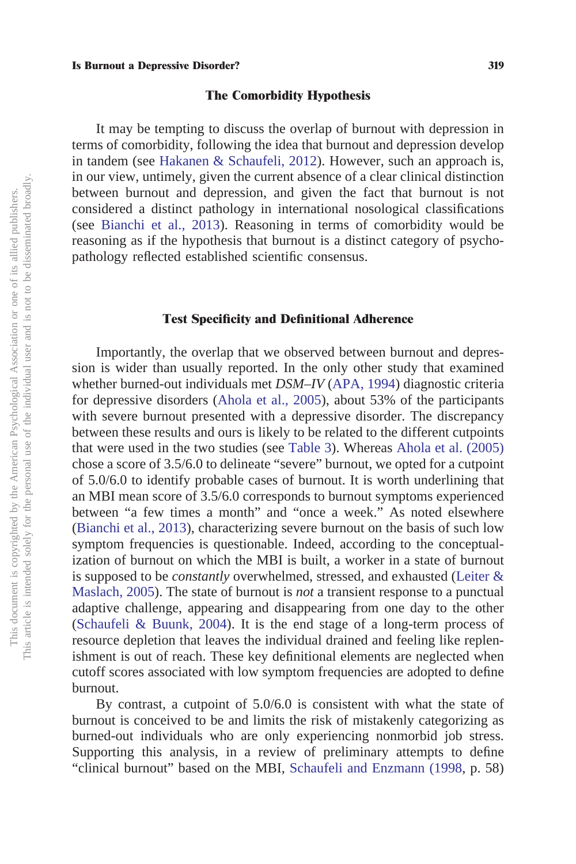## **The Comorbidity Hypothesis**

It may be tempting to discuss the overlap of burnout with depression in terms of comorbidity, following the idea that burnout and depression develop in tandem (see [Hakanen & Schaufeli, 2012\)](#page-16-1). However, such an approach is, in our view, untimely, given the current absence of a clear clinical distinction between burnout and depression, and given the fact that burnout is not considered a distinct pathology in international nosological classifications (see [Bianchi et al., 2013\)](#page-15-2). Reasoning in terms of comorbidity would be reasoning as if the hypothesis that burnout is a distinct category of psychopathology reflected established scientific consensus.

# **Test Specificity and Definitional Adherence**

Importantly, the overlap that we observed between burnout and depression is wider than usually reported. In the only other study that examined whether burned-out individuals met *DSM–IV* [\(APA, 1994\)](#page-15-0) diagnostic criteria for depressive disorders [\(Ahola et al., 2005\)](#page-15-5), about 53% of the participants with severe burnout presented with a depressive disorder. The discrepancy between these results and ours is likely to be related to the different cutpoints that were used in the two studies (see [Table 3\)](#page-9-1). Whereas [Ahola et al. \(2005\)](#page-15-5) chose a score of 3.5/6.0 to delineate "severe" burnout, we opted for a cutpoint of 5.0/6.0 to identify probable cases of burnout. It is worth underlining that an MBI mean score of 3.5/6.0 corresponds to burnout symptoms experienced between "a few times a month" and "once a week." As noted elsewhere [\(Bianchi et al., 2013\)](#page-15-2), characterizing severe burnout on the basis of such low symptom frequencies is questionable. Indeed, according to the conceptualization of burnout on which the MBI is built, a worker in a state of burnout is supposed to be *constantly* overwhelmed, stressed, and exhausted [\(Leiter &](#page-16-18) [Maslach, 2005\)](#page-16-18). The state of burnout is *not* a transient response to a punctual adaptive challenge, appearing and disappearing from one day to the other [\(Schaufeli & Buunk, 2004\)](#page-17-2). It is the end stage of a long-term process of resource depletion that leaves the individual drained and feeling like replenishment is out of reach. These key definitional elements are neglected when cutoff scores associated with low symptom frequencies are adopted to define burnout.

By contrast, a cutpoint of 5.0/6.0 is consistent with what the state of burnout is conceived to be and limits the risk of mistakenly categorizing as burned-out individuals who are only experiencing nonmorbid job stress. Supporting this analysis, in a review of preliminary attempts to define "clinical burnout" based on the MBI, [Schaufeli and Enzmann \(1998,](#page-17-0) p. 58)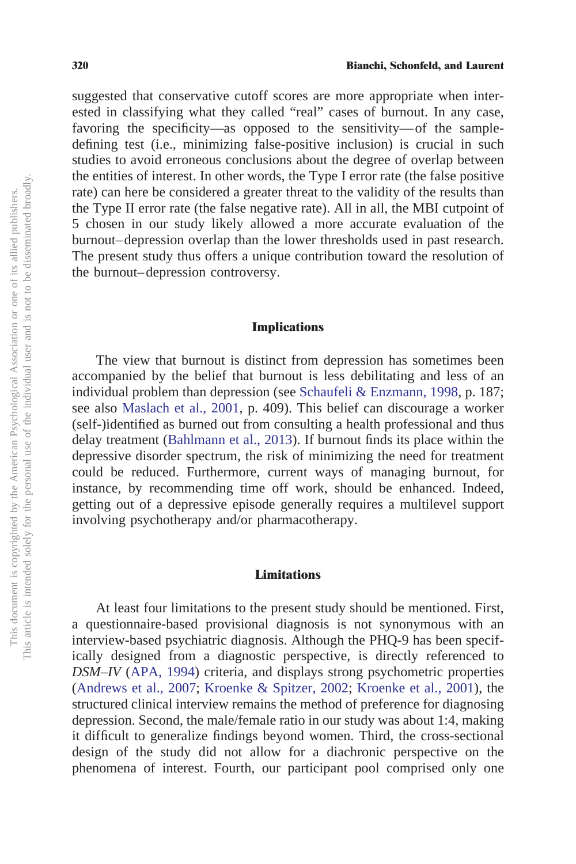suggested that conservative cutoff scores are more appropriate when interested in classifying what they called "real" cases of burnout. In any case, favoring the specificity—as opposed to the sensitivity—of the sampledefining test (i.e., minimizing false-positive inclusion) is crucial in such studies to avoid erroneous conclusions about the degree of overlap between the entities of interest. In other words, the Type I error rate (the false positive rate) can here be considered a greater threat to the validity of the results than the Type II error rate (the false negative rate). All in all, the MBI cutpoint of 5 chosen in our study likely allowed a more accurate evaluation of the burnout–depression overlap than the lower thresholds used in past research. The present study thus offers a unique contribution toward the resolution of the burnout–depression controversy.

# **Implications**

The view that burnout is distinct from depression has sometimes been accompanied by the belief that burnout is less debilitating and less of an individual problem than depression (see [Schaufeli & Enzmann, 1998,](#page-17-0) p. 187; see also [Maslach et al., 2001,](#page-16-0) p. 409). This belief can discourage a worker (self-)identified as burned out from consulting a health professional and thus delay treatment [\(Bahlmann et al., 2013\)](#page-15-6). If burnout finds its place within the depressive disorder spectrum, the risk of minimizing the need for treatment could be reduced. Furthermore, current ways of managing burnout, for instance, by recommending time off work, should be enhanced. Indeed, getting out of a depressive episode generally requires a multilevel support involving psychotherapy and/or pharmacotherapy.

# **Limitations**

At least four limitations to the present study should be mentioned. First, a questionnaire-based provisional diagnosis is not synonymous with an interview-based psychiatric diagnosis. Although the PHQ-9 has been specifically designed from a diagnostic perspective, is directly referenced to *DSM–IV* [\(APA, 1994\)](#page-15-0) criteria, and displays strong psychometric properties [\(Andrews et al., 2007;](#page-15-10) [Kroenke & Spitzer, 2002;](#page-16-12) [Kroenke et al., 2001\)](#page-16-13), the structured clinical interview remains the method of preference for diagnosing depression. Second, the male/female ratio in our study was about 1:4, making it difficult to generalize findings beyond women. Third, the cross-sectional design of the study did not allow for a diachronic perspective on the phenomena of interest. Fourth, our participant pool comprised only one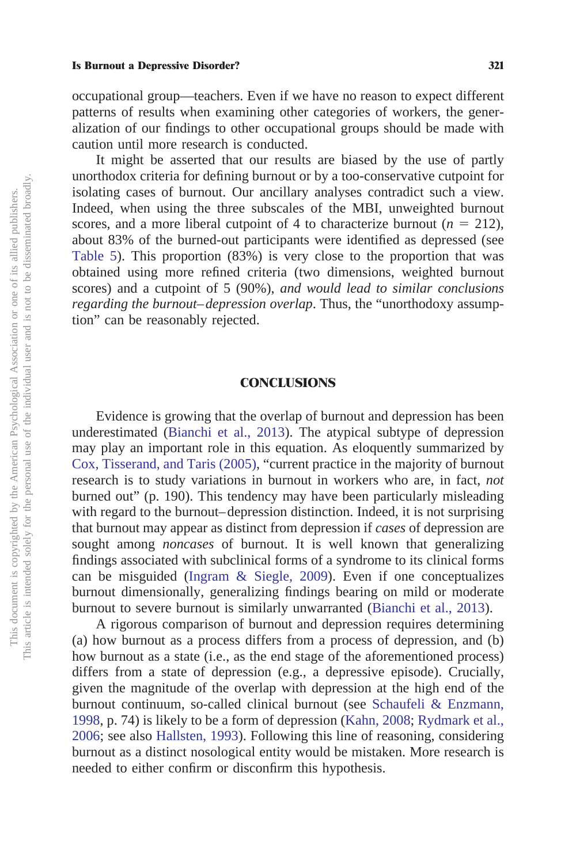occupational group—teachers. Even if we have no reason to expect different patterns of results when examining other categories of workers, the generalization of our findings to other occupational groups should be made with caution until more research is conducted.

It might be asserted that our results are biased by the use of partly unorthodox criteria for defining burnout or by a too-conservative cutpoint for isolating cases of burnout. Our ancillary analyses contradict such a view. Indeed, when using the three subscales of the MBI, unweighted burnout scores, and a more liberal cutpoint of 4 to characterize burnout  $(n = 212)$ , about 83% of the burned-out participants were identified as depressed (see [Table 5\)](#page-10-1). This proportion (83%) is very close to the proportion that was obtained using more refined criteria (two dimensions, weighted burnout scores) and a cutpoint of 5 (90%), *and would lead to similar conclusions regarding the burnout–depression overlap*. Thus, the "unorthodoxy assumption" can be reasonably rejected.

## **CONCLUSIONS**

Evidence is growing that the overlap of burnout and depression has been underestimated [\(Bianchi et al., 2013\)](#page-15-2). The atypical subtype of depression may play an important role in this equation. As eloquently summarized by [Cox, Tisserand, and Taris \(2005\),](#page-15-11) "current practice in the majority of burnout research is to study variations in burnout in workers who are, in fact, *not* burned out" (p. 190). This tendency may have been particularly misleading with regard to the burnout–depression distinction. Indeed, it is not surprising that burnout may appear as distinct from depression if *cases* of depression are sought among *noncases* of burnout. It is well known that generalizing findings associated with subclinical forms of a syndrome to its clinical forms can be misguided [\(Ingram & Siegle, 2009\)](#page-16-11). Even if one conceptualizes burnout dimensionally, generalizing findings bearing on mild or moderate burnout to severe burnout is similarly unwarranted [\(Bianchi et al., 2013\)](#page-15-2).

A rigorous comparison of burnout and depression requires determining (a) how burnout as a process differs from a process of depression, and (b) how burnout as a state (i.e., as the end stage of the aforementioned process) differs from a state of depression (e.g., a depressive episode). Crucially, given the magnitude of the overlap with depression at the high end of the burnout continuum, so-called clinical burnout (see [Schaufeli & Enzmann,](#page-17-0) [1998,](#page-17-0) p. 74) is likely to be a form of depression [\(Kahn, 2008;](#page-16-3) [Rydmark et al.,](#page-17-4) [2006;](#page-17-4) see also [Hallsten, 1993\)](#page-16-6). Following this line of reasoning, considering burnout as a distinct nosological entity would be mistaken. More research is needed to either confirm or disconfirm this hypothesis.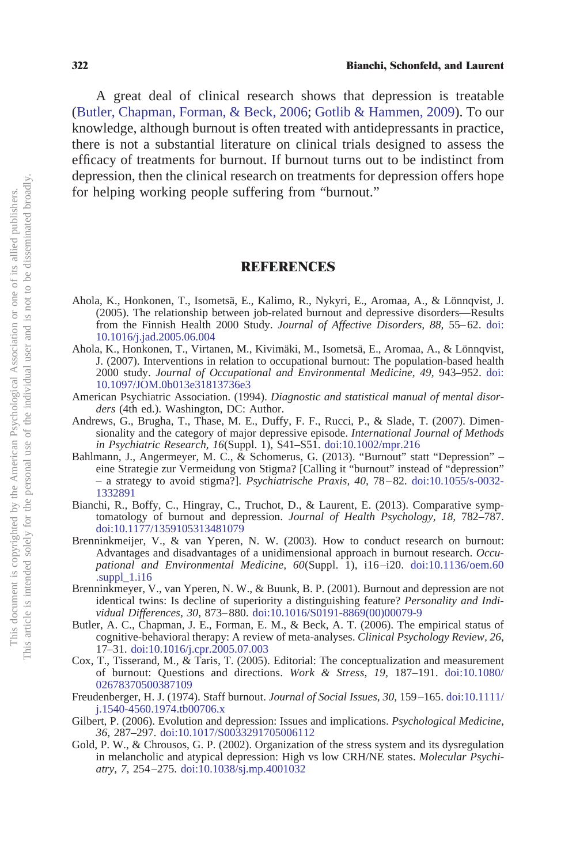A great deal of clinical research shows that depression is treatable [\(Butler, Chapman, Forman, & Beck, 2006;](#page-15-12) [Gotlib & Hammen, 2009\)](#page-16-5). To our knowledge, although burnout is often treated with antidepressants in practice, there is not a substantial literature on clinical trials designed to assess the efficacy of treatments for burnout. If burnout turns out to be indistinct from depression, then the clinical research on treatments for depression offers hope for helping working people suffering from "burnout."

# **REFERENCES**

- <span id="page-15-5"></span>Ahola, K., Honkonen, T., Isometsä, E., Kalimo, R., Nykyri, E., Aromaa, A., & Lönnqvist, J. (2005). The relationship between job-related burnout and depressive disorders—Results from the Finnish Health 2000 Study. *Journal of Affective Disorders, 88,* 55–62. [doi:](http://dx.doi.org/10.1016/j.jad.2005.06.004) [10.1016/j.jad.2005.06.004](http://dx.doi.org/10.1016/j.jad.2005.06.004)
- <span id="page-15-8"></span>Ahola, K., Honkonen, T., Virtanen, M., Kivimäki, M., Isometsä, E., Aromaa, A., & Lönnqvist, J. (2007). Interventions in relation to occupational burnout: The population-based health 2000 study. *Journal of Occupational and Environmental Medicine, 49,* 943–952. [doi:](http://dx.doi.org/10.1097/JOM.0b013e31813736e3) [10.1097/JOM.0b013e31813736e3](http://dx.doi.org/10.1097/JOM.0b013e31813736e3)
- <span id="page-15-0"></span>American Psychiatric Association. (1994). *Diagnostic and statistical manual of mental disorders* (4th ed.). Washington, DC: Author.
- <span id="page-15-10"></span>Andrews, G., Brugha, T., Thase, M. E., Duffy, F. F., Rucci, P., & Slade, T. (2007). Dimensionality and the category of major depressive episode. *International Journal of Methods in Psychiatric Research, 16*(Suppl. 1), S41–S51. [doi:10.1002/mpr.216](http://dx.doi.org/10.1002/mpr.216)
- <span id="page-15-6"></span>Bahlmann, J., Angermeyer, M. C., & Schomerus, G. (2013). "Burnout" statt "Depression" – eine Strategie zur Vermeidung von Stigma? [Calling it "burnout" instead of "depression" – a strategy to avoid stigma?]. *Psychiatrische Praxis, 40,* 78–82. [doi:10.1055/s-0032-](http://dx.doi.org/10.1055/s-0032-1332891) [1332891](http://dx.doi.org/10.1055/s-0032-1332891)
- <span id="page-15-2"></span>Bianchi, R., Boffy, C., Hingray, C., Truchot, D., & Laurent, E. (2013). Comparative symptomatology of burnout and depression. *Journal of Health Psychology, 18,* 782–787. [doi:10.1177/1359105313481079](http://dx.doi.org/10.1177/1359105313481079)
- <span id="page-15-7"></span>Brenninkmeijer, V., & van Yperen, N. W. (2003). How to conduct research on burnout: Advantages and disadvantages of a unidimensional approach in burnout research. *Occupational and Environmental Medicine, 60*(Suppl. 1), i16–i20. [doi:10.1136/oem.60](http://dx.doi.org/10.1136/oem.60.suppl_1.i16)  $.\text{supp1}\_1.116$
- <span id="page-15-9"></span>Brenninkmeyer, V., van Yperen, N. W., & Buunk, B. P. (2001). Burnout and depression are not identical twins: Is decline of superiority a distinguishing feature? *Personality and Individual Differences, 30,* 873–880. [doi:10.1016/S0191-8869\(00\)00079-9](http://dx.doi.org/10.1016/S0191-8869%2800%2900079-9)
- <span id="page-15-12"></span>Butler, A. C., Chapman, J. E., Forman, E. M., & Beck, A. T. (2006). The empirical status of cognitive-behavioral therapy: A review of meta-analyses. *Clinical Psychology Review, 26,* 17–31. [doi:10.1016/j.cpr.2005.07.003](http://dx.doi.org/10.1016/j.cpr.2005.07.003)
- <span id="page-15-11"></span>Cox, T., Tisserand, M., & Taris, T. (2005). Editorial: The conceptualization and measurement of burnout: Questions and directions. *Work & Stress, 19,* 187–191. [doi:10.1080/](http://dx.doi.org/10.1080/02678370500387109) [02678370500387109](http://dx.doi.org/10.1080/02678370500387109)
- <span id="page-15-3"></span>Freudenberger, H. J. (1974). Staff burnout. *Journal of Social Issues, 30,* 159–165. [doi:10.1111/](http://dx.doi.org/10.1111/j.1540-4560.1974.tb00706.x) [j.1540-4560.1974.tb00706.x](http://dx.doi.org/10.1111/j.1540-4560.1974.tb00706.x)
- <span id="page-15-1"></span>Gilbert, P. (2006). Evolution and depression: Issues and implications. *Psychological Medicine, 36,* 287–297. [doi:10.1017/S0033291705006112](http://dx.doi.org/10.1017/S0033291705006112)
- <span id="page-15-4"></span>Gold, P. W., & Chrousos, G. P. (2002). Organization of the stress system and its dysregulation in melancholic and atypical depression: High vs low CRH/NE states. *Molecular Psychiatry, 7,* 254–275. [doi:10.1038/sj.mp.4001032](http://dx.doi.org/10.1038/sj.mp.4001032)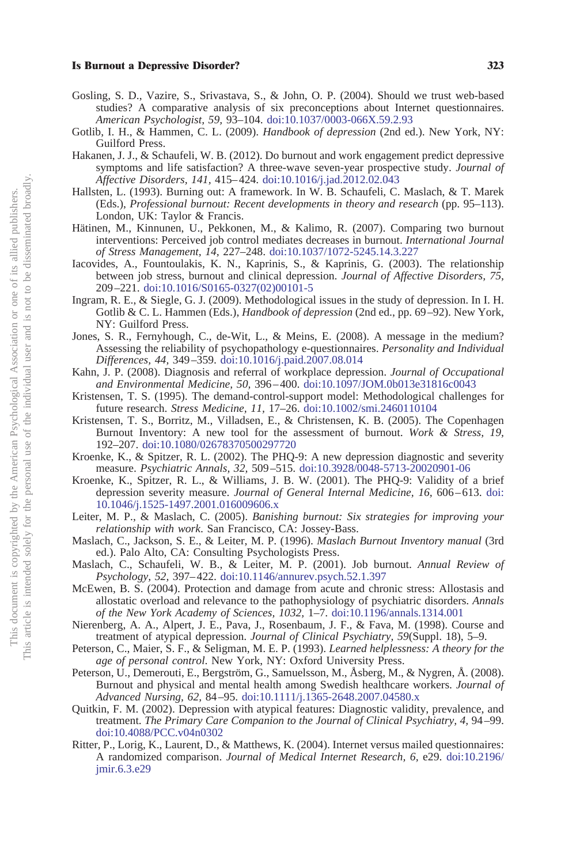- <span id="page-16-14"></span>Gosling, S. D., Vazire, S., Srivastava, S., & John, O. P. (2004). Should we trust web-based studies? A comparative analysis of six preconceptions about Internet questionnaires. *American Psychologist, 59,* 93–104. [doi:10.1037/0003-066X.59.2.93](http://dx.doi.org/10.1037/0003-066X.59.2.93)
- <span id="page-16-5"></span>Gotlib, I. H., & Hammen, C. L. (2009). *Handbook of depression* (2nd ed.). New York, NY: Guilford Press.
- <span id="page-16-1"></span>Hakanen, J. J., & Schaufeli, W. B. (2012). Do burnout and work engagement predict depressive symptoms and life satisfaction? A three-wave seven-year prospective study. *Journal of Affective Disorders, 141,* 415–424. [doi:10.1016/j.jad.2012.02.043](http://dx.doi.org/10.1016/j.jad.2012.02.043)
- <span id="page-16-6"></span>Hallsten, L. (1993). Burning out: A framework. In W. B. Schaufeli, C. Maslach, & T. Marek (Eds.), *Professional burnout: Recent developments in theory and research* (pp. 95–113). London, UK: Taylor & Francis.
- <span id="page-16-7"></span>Hätinen, M., Kinnunen, U., Pekkonen, M., & Kalimo, R. (2007). Comparing two burnout interventions: Perceived job control mediates decreases in burnout. *International Journal of Stress Management, 14,* 227–248. [doi:10.1037/1072-5245.14.3.227](http://dx.doi.org/10.1037/1072-5245.14.3.227)
- <span id="page-16-10"></span>Iacovides, A., Fountoulakis, K. N., Kaprinis, S., & Kaprinis, G. (2003). The relationship between job stress, burnout and clinical depression. *Journal of Affective Disorders, 75,* 209–221. [doi:10.1016/S0165-0327\(02\)00101-5](http://dx.doi.org/10.1016/S0165-0327%2802%2900101-5)
- <span id="page-16-11"></span>Ingram, R. E., & Siegle, G. J. (2009). Methodological issues in the study of depression. In I. H. Gotlib & C. L. Hammen (Eds.), *Handbook of depression* (2nd ed., pp. 69–92). New York, NY: Guilford Press.
- <span id="page-16-15"></span>Jones, S. R., Fernyhough, C., de-Wit, L., & Meins, E. (2008). A message in the medium? Assessing the reliability of psychopathology e-questionnaires. *Personality and Individual Differences, 44,* 349–359. [doi:10.1016/j.paid.2007.08.014](http://dx.doi.org/10.1016/j.paid.2007.08.014)
- <span id="page-16-3"></span>Kahn, J. P. (2008). Diagnosis and referral of workplace depression. *Journal of Occupational and Environmental Medicine, 50,* 396–400. [doi:10.1097/JOM.0b013e31816c0043](http://dx.doi.org/10.1097/JOM.0b013e31816c0043)
- <span id="page-16-17"></span>Kristensen, T. S. (1995). The demand-control-support model: Methodological challenges for future research. *Stress Medicine, 11,* 17–26. [doi:10.1002/smi.2460110104](http://dx.doi.org/10.1002/smi.2460110104)
- <span id="page-16-20"></span>Kristensen, T. S., Borritz, M., Villadsen, E., & Christensen, K. B. (2005). The Copenhagen Burnout Inventory: A new tool for the assessment of burnout. *Work & Stress, 19,* 192–207. [doi:10.1080/02678370500297720](http://dx.doi.org/10.1080/02678370500297720)
- <span id="page-16-12"></span>Kroenke, K., & Spitzer, R. L. (2002). The PHQ-9: A new depression diagnostic and severity measure. *Psychiatric Annals, 32,* 509–515. [doi:10.3928/0048-5713-20020901-06](http://dx.doi.org/10.3928/0048-5713-20020901-06)
- <span id="page-16-13"></span>Kroenke, K., Spitzer, R. L., & Williams, J. B. W. (2001). The PHQ-9: Validity of a brief depression severity measure. *Journal of General Internal Medicine, 16,* 606–613. [doi:](http://dx.doi.org/10.1046/j.1525-1497.2001.016009606.x) [10.1046/j.1525-1497.2001.016009606.x](http://dx.doi.org/10.1046/j.1525-1497.2001.016009606.x)
- <span id="page-16-18"></span>Leiter, M. P., & Maslach, C. (2005). *Banishing burnout: Six strategies for improving your relationship with work*. San Francisco, CA: Jossey-Bass.
- <span id="page-16-2"></span>Maslach, C., Jackson, S. E., & Leiter, M. P. (1996). *Maslach Burnout Inventory manual* (3rd ed.). Palo Alto, CA: Consulting Psychologists Press.
- <span id="page-16-0"></span>Maslach, C., Schaufeli, W. B., & Leiter, M. P. (2001). Job burnout. *Annual Review of Psychology, 52,* 397–422. [doi:10.1146/annurev.psych.52.1.397](http://dx.doi.org/10.1146/annurev.psych.52.1.397)
- <span id="page-16-8"></span>McEwen, B. S. (2004). Protection and damage from acute and chronic stress: Allostasis and allostatic overload and relevance to the pathophysiology of psychiatric disorders. *Annals of the New York Academy of Sciences, 1032,* 1–7. [doi:10.1196/annals.1314.001](http://dx.doi.org/10.1196/annals.1314.001)
- <span id="page-16-19"></span>Nierenberg, A. A., Alpert, J. E., Pava, J., Rosenbaum, J. F., & Fava, M. (1998). Course and treatment of atypical depression. *Journal of Clinical Psychiatry, 59*(Suppl. 18), 5–9.
- <span id="page-16-4"></span>Peterson, C., Maier, S. F., & Seligman, M. E. P. (1993). *Learned helplessness: A theory for the age of personal control*. New York, NY: Oxford University Press.
- <span id="page-16-21"></span>Peterson, U., Demerouti, E., Bergström, G., Samuelsson, M., Åsberg, M., & Nygren, Å. (2008). Burnout and physical and mental health among Swedish healthcare workers. *Journal of Advanced Nursing, 62,* 84–95. [doi:10.1111/j.1365-2648.2007.04580.x](http://dx.doi.org/10.1111/j.1365-2648.2007.04580.x)
- <span id="page-16-9"></span>Quitkin, F. M. (2002). Depression with atypical features: Diagnostic validity, prevalence, and treatment. *The Primary Care Companion to the Journal of Clinical Psychiatry, 4,* 94–99. [doi:10.4088/PCC.v04n0302](http://dx.doi.org/10.4088/PCC.v04n0302)
- <span id="page-16-16"></span>Ritter, P., Lorig, K., Laurent, D., & Matthews, K. (2004). Internet versus mailed questionnaires: A randomized comparison. *Journal of Medical Internet Research, 6,* e29. [doi:10.2196/](http://dx.doi.org/10.2196/jmir.6.3.e29) [jmir.6.3.e29](http://dx.doi.org/10.2196/jmir.6.3.e29)